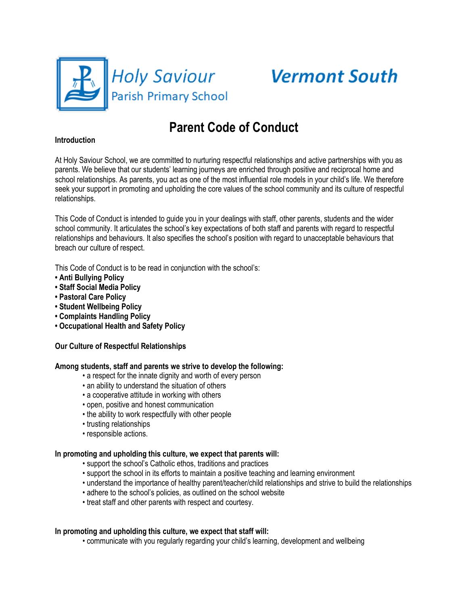

# **Vermont South**

# **Parent Code of Conduct**

#### **Introduction**

At Holy Saviour School, we are committed to nurturing respectful relationships and active partnerships with you as parents. We believe that our students' learning journeys are enriched through positive and reciprocal home and school relationships. As parents, you act as one of the most influential role models in your child's life. We therefore seek your support in promoting and upholding the core values of the school community and its culture of respectful relationships.

This Code of Conduct is intended to guide you in your dealings with staff, other parents, students and the wider school community. It articulates the school's key expectations of both staff and parents with regard to respectful relationships and behaviours. It also specifies the school's position with regard to unacceptable behaviours that breach our culture of respect.

This Code of Conduct is to be read in conjunction with the school's:

- **Anti Bullying Policy**
- **Staff Social Media Policy**
- **Pastoral Care Policy**
- **Student Wellbeing Policy**
- **Complaints Handling Policy**
- **Occupational Health and Safety Policy**

## **Our Culture of Respectful Relationships**

#### **Among students, staff and parents we strive to develop the following:**

- a respect for the innate dignity and worth of every person
- an ability to understand the situation of others
- a cooperative attitude in working with others
- open, positive and honest communication
- the ability to work respectfully with other people
- trusting relationships
- responsible actions.

#### **In promoting and upholding this culture, we expect that parents will:**

- support the school's Catholic ethos, traditions and practices
- support the school in its efforts to maintain a positive teaching and learning environment
- understand the importance of healthy parent/teacher/child relationships and strive to build the relationships
- adhere to the school's policies, as outlined on the school website
- treat staff and other parents with respect and courtesy.

## **In promoting and upholding this culture, we expect that staff will:**

• communicate with you regularly regarding your child's learning, development and wellbeing